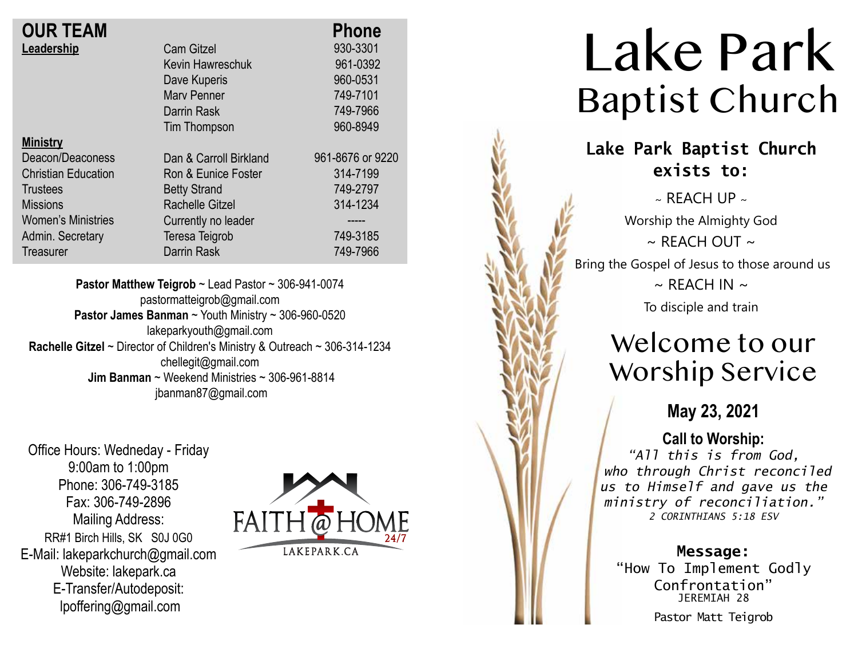| <b>OUR TEAM</b>            |                        | <b>Phone</b>     |
|----------------------------|------------------------|------------------|
| Leadership                 | <b>Cam Gitzel</b>      | 930-3301         |
|                            | Kevin Hawreschuk       | 961-0392         |
|                            | Dave Kuperis           | 960-0531         |
|                            | Mary Penner            | 749-7101         |
|                            | Darrin Rask            | 749-7966         |
|                            | Tim Thompson           | 960-8949         |
| <b>Ministry</b>            |                        |                  |
| Deacon/Deaconess           | Dan & Carroll Birkland | 961-8676 or 9220 |
| <b>Christian Education</b> | Ron & Eunice Foster    | 314-7199         |
| <b>Trustees</b>            | <b>Betty Strand</b>    | 749-2797         |
| <b>Missions</b>            | Rachelle Gitzel        | 314-1234         |
| <b>Women's Ministries</b>  | Currently no leader    |                  |
| Admin. Secretary           | <b>Teresa Teigrob</b>  | 749-3185         |
| Treasurer                  | Darrin Rask            | 749-7966         |

**Pastor Matthew Teigrob** ~ Lead Pastor ~ 306-941-0074 pastormatteigrob@gmail.com **Pastor James Banman** ~ Youth Ministry ~ 306-960-0520 lakeparkyouth@gmail.com **Rachelle Gitzel** ~ Director of Children's Ministry & Outreach ~ 306-314-1234 chellegit@gmail.com  **Jim Banman** ~ Weekend Ministries ~ 306-961-8814 jbanman87@gmail.com

Office Hours: Wedneday - Friday 9:00am to 1:00pm Phone: 306-749-3185 Fax: 306-749-2896 Mailing Address: RR#1 Birch Hills, SK S0J 0G0 E-Mail: lakeparkchurch@gmail.com Website: lakepark.ca E-Transfer/Autodeposit: lpoffering@gmail.com



# Lake Park Baptist Church

### **Lake Park Baptist Church exists to:**

 $\sim$  RFACH UP  $\sim$ Worship the Almighty God  $\sim$  REACH OUT  $\sim$ Bring the Gospel of Jesus to those around us  $\sim$  REACH IN  $\sim$ 

To disciple and train

## Welcome to our Worship Service

**May 23, 2021**

### **Call to Worship:**

*"All this is from God, who through Christ reconciled us to Himself and gave us the ministry of reconciliation." 2 CORINTHIANS 5:18 ESV*

**Message:**

"How To Implement Godly Confrontation" JEREMIAH 28 Pastor Matt Teigrob